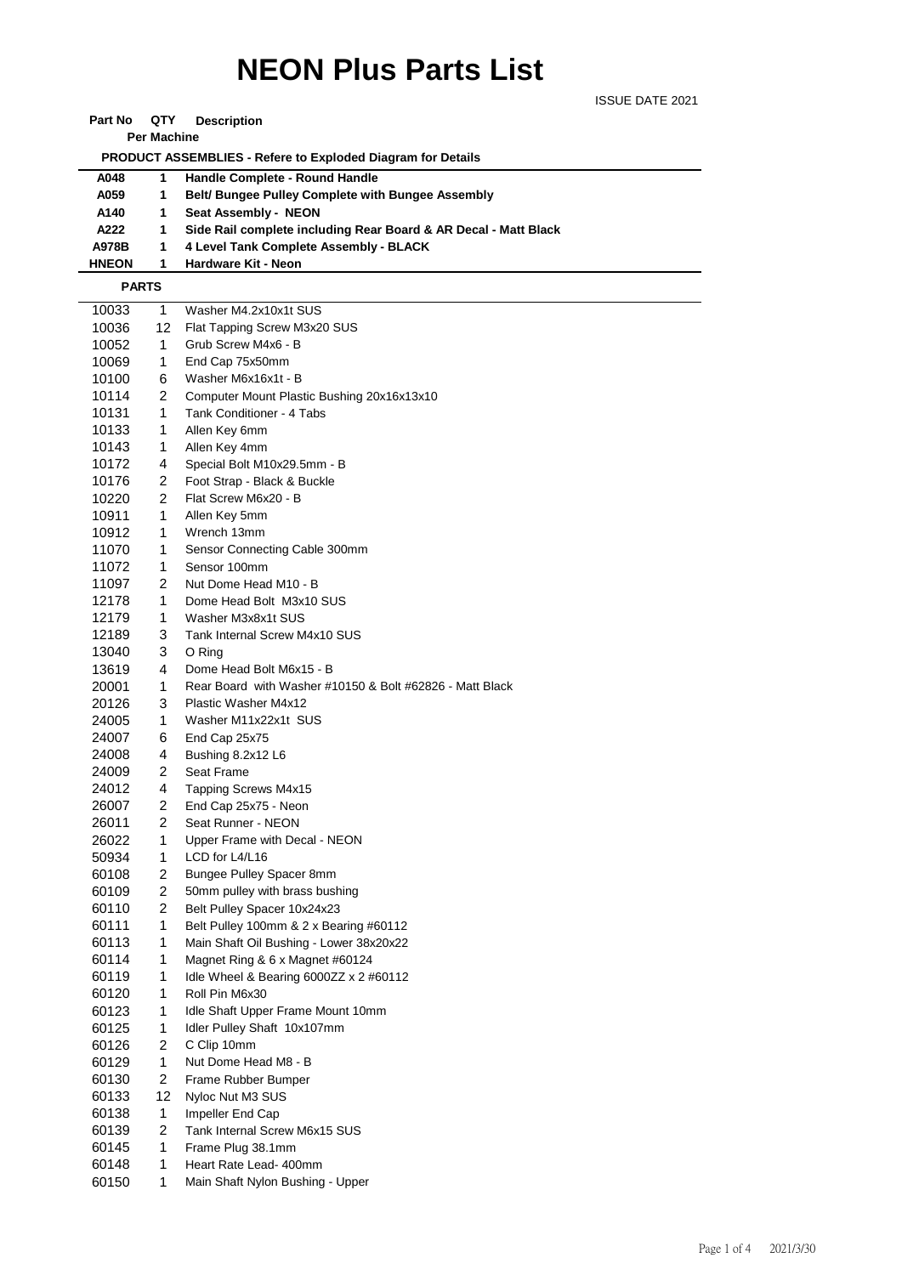## **NEON Plus Parts List**

ISSUE DATE 2021

| Part No | QTY | <b>Description</b> |
|---------|-----|--------------------|
|---------|-----|--------------------|

**Per Machine**

 **PRODUCT ASSEMBLIES - Refere to Exploded Diagram for Details** 

| A048         | Handle Complete - Round Handle                                  |
|--------------|-----------------------------------------------------------------|
| A059         | <b>Belt/ Bungee Pulley Complete with Bungee Assembly</b>        |
| A140         | Seat Assembly - NEON                                            |
| A222         | Side Rail complete including Rear Board & AR Decal - Matt Black |
| A978B        | 4 Level Tank Complete Assembly - BLACK                          |
| <b>HNEON</b> | <b>Hardware Kit - Neon</b>                                      |

## **PARTS**

| 10033 | 1              | Washer M4.2x10x1t SUS                                    |
|-------|----------------|----------------------------------------------------------|
| 10036 | 12             | Flat Tapping Screw M3x20 SUS                             |
| 10052 | 1.             | Grub Screw M4x6 - B                                      |
| 10069 | 1              | End Cap 75x50mm                                          |
| 10100 | 6              | Washer M6x16x1t - B                                      |
| 10114 | $\overline{2}$ | Computer Mount Plastic Bushing 20x16x13x10               |
| 10131 | 1              | Tank Conditioner - 4 Tabs                                |
| 10133 | 1              | Allen Key 6mm                                            |
| 10143 | 1              | Allen Key 4mm                                            |
| 10172 | 4              | Special Bolt M10x29.5mm - B                              |
| 10176 | 2              | Foot Strap - Black & Buckle                              |
| 10220 | 2              | Flat Screw M6x20 - B                                     |
| 10911 | 1              | Allen Key 5mm                                            |
| 10912 | 1              | Wrench 13mm                                              |
| 11070 | 1              | Sensor Connecting Cable 300mm                            |
| 11072 | 1              | Sensor 100mm                                             |
| 11097 | $\overline{2}$ | Nut Dome Head M10 - B                                    |
| 12178 | 1              | Dome Head Bolt M3x10 SUS                                 |
| 12179 | 1.             | Washer M3x8x1t SUS                                       |
| 12189 | 3              | Tank Internal Screw M4x10 SUS                            |
| 13040 | 3              | O Ring                                                   |
| 13619 | 4              | Dome Head Bolt M6x15 - B                                 |
| 20001 | 1              | Rear Board with Washer #10150 & Bolt #62826 - Matt Black |
| 20126 | 3              | Plastic Washer M4x12                                     |
| 24005 | 1              | Washer M11x22x1t SUS                                     |
| 24007 | 6              | End Cap 25x75                                            |
| 24008 | 4              | Bushing 8.2x12 L6                                        |
| 24009 | 2              | Seat Frame                                               |
| 24012 | 4              | Tapping Screws M4x15                                     |
| 26007 | 2              | End Cap 25x75 - Neon                                     |
| 26011 | $\overline{2}$ | Seat Runner - NEON                                       |
| 26022 | 1              | Upper Frame with Decal - NEON                            |
| 50934 | 1              | LCD for L4/L16                                           |
| 60108 | 2              | Bungee Pulley Spacer 8mm                                 |
| 60109 | $\overline{2}$ | 50mm pulley with brass bushing                           |
| 60110 | $\overline{2}$ | Belt Pulley Spacer 10x24x23                              |
| 60111 | 1              | Belt Pulley 100mm & 2 x Bearing #60112                   |
| 60113 | 1              | Main Shaft Oil Bushing - Lower 38x20x22                  |
| 60114 | 1              | Magnet Ring & 6 x Magnet #60124                          |
| 60119 | 1              | Idle Wheel & Bearing 6000ZZ x 2 #60112                   |
| 60120 | 1              | Roll Pin M6x30                                           |
| 60123 | 1              | Idle Shaft Upper Frame Mount 10mm                        |
| 60125 | 1              | Idler Pulley Shaft 10x107mm                              |
| 60126 | $\overline{2}$ | C Clip 10mm                                              |
| 60129 | 1              | Nut Dome Head M8 - B                                     |
| 60130 | $\overline{2}$ | Frame Rubber Bumper                                      |
| 60133 | 12             | Nyloc Nut M3 SUS                                         |
| 60138 | 1              | Impeller End Cap                                         |
| 60139 | 2              | Tank Internal Screw M6x15 SUS                            |
| 60145 | 1              | Frame Plug 38.1mm                                        |
| 60148 | 1              | Heart Rate Lead- 400mm                                   |
| 60150 | 1              | Main Shaft Nylon Bushing - Upper                         |
|       |                |                                                          |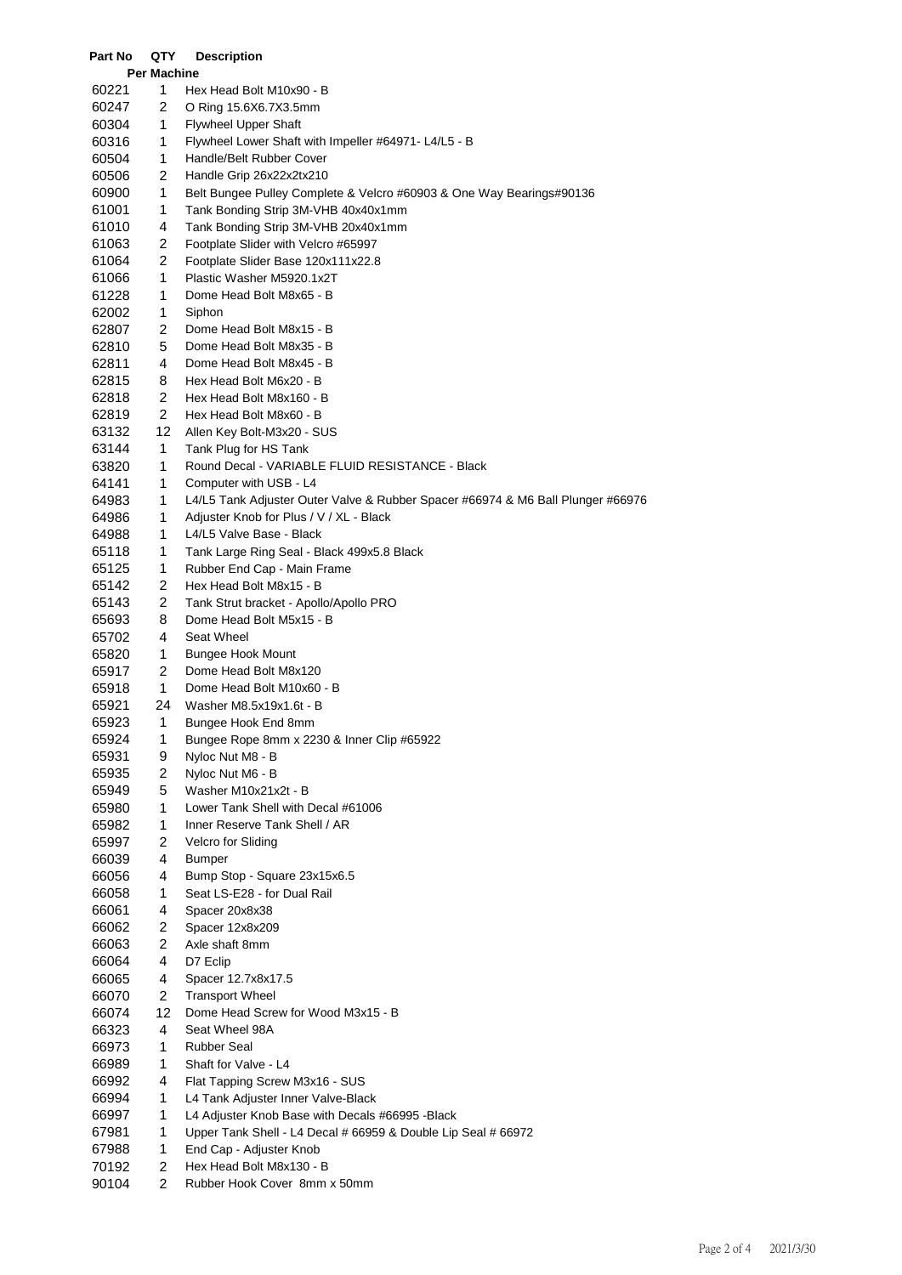| <b>Per Machine</b><br>1<br>60221<br>Hex Head Bolt M10x90 - B<br>$\overline{c}$<br>60247<br>O Ring 15.6X6.7X3.5mm<br>1<br>60304<br><b>Flywheel Upper Shaft</b><br>1<br>60316<br>Flywheel Lower Shaft with Impeller #64971- L4/L5 - B<br>1<br>60504<br>Handle/Belt Rubber Cover<br>2<br>60506<br>Handle Grip 26x22x2tx210<br>1<br>Belt Bungee Pulley Complete & Velcro #60903 & One Way Bearings#90136<br>60900<br>1<br>61001<br>Tank Bonding Strip 3M-VHB 40x40x1mm<br>4<br>61010<br>Tank Bonding Strip 3M-VHB 20x40x1mm<br>2<br>61063<br>Footplate Slider with Velcro #65997<br>$\overline{c}$<br>61064<br>Footplate Slider Base 120x111x22.8<br>1<br>61066<br>Plastic Washer M5920.1x2T<br>1<br>61228<br>Dome Head Bolt M8x65 - B<br>62002<br>1<br>Siphon<br>2<br>62807<br>Dome Head Bolt M8x15 - B<br>5<br>Dome Head Bolt M8x35 - B<br>62810<br>4<br>Dome Head Bolt M8x45 - B<br>62811<br>62815<br>8<br>Hex Head Bolt M6x20 - B<br>$\overline{c}$<br>62818<br>Hex Head Bolt M8x160 - B<br>$\overline{c}$<br>62819<br>Hex Head Bolt M8x60 - B<br>12<br>63132<br>Allen Key Bolt-M3x20 - SUS<br>1<br>63144<br>Tank Plug for HS Tank<br>63820<br>1<br>Round Decal - VARIABLE FLUID RESISTANCE - Black<br>1<br>Computer with USB - L4<br>64141<br>1<br>64983<br>L4/L5 Tank Adjuster Outer Valve & Rubber Spacer #66974 & M6 Ball Plunger #66976<br>1<br>64986<br>Adjuster Knob for Plus / V / XL - Black<br>1<br>64988<br>L4/L5 Valve Base - Black<br>1<br>65118<br>Tank Large Ring Seal - Black 499x5.8 Black<br>1<br>65125<br>Rubber End Cap - Main Frame<br>2<br>65142<br>Hex Head Bolt M8x15 - B<br>2<br>65143<br>Tank Strut bracket - Apollo/Apollo PRO<br>8<br>65693<br>Dome Head Bolt M5x15 - B<br>4<br>65702<br>Seat Wheel<br>65820<br>1<br><b>Bungee Hook Mount</b><br>2<br>65917<br>Dome Head Bolt M8x120<br>1<br>65918<br>Dome Head Bolt M10x60 - B<br>65921<br>24<br>Washer M8.5x19x1.6t - B<br>1<br>65923<br>Bungee Hook End 8mm<br>65924<br>Bungee Rope 8mm x 2230 & Inner Clip #65922<br>1<br>65931<br>9<br>Nyloc Nut M8 - B<br>65935<br>2<br>Nyloc Nut M6 - B<br>5<br>65949<br>Washer M10x21x2t - B<br>1<br>65980<br>Lower Tank Shell with Decal #61006<br>1<br>65982<br>Inner Reserve Tank Shell / AR<br>2<br>65997<br>Velcro for Sliding<br>4<br>66039<br><b>Bumper</b><br>4<br>Bump Stop - Square 23x15x6.5<br>66056<br>66058<br>1<br>Seat LS-E28 - for Dual Rail<br>66061<br>4<br>Spacer 20x8x38<br>2<br>66062<br>Spacer 12x8x209<br>$\overline{\mathbf{c}}$<br>66063<br>Axle shaft 8mm<br>4<br>D7 Eclip<br>66064<br>4<br>66065<br>Spacer 12.7x8x17.5<br>$\overline{c}$<br>66070<br><b>Transport Wheel</b><br>12<br>66074<br>Dome Head Screw for Wood M3x15 - B<br>4<br>66323<br>Seat Wheel 98A<br>66973<br>1<br><b>Rubber Seal</b><br>Shaft for Valve - L4<br>66989<br>1<br>4<br>66992<br>Flat Tapping Screw M3x16 - SUS<br>1<br>L4 Tank Adjuster Inner Valve-Black<br>66994<br>1<br>66997<br>L4 Adjuster Knob Base with Decals #66995 - Black<br>1<br>67981<br>Upper Tank Shell - L4 Decal # 66959 & Double Lip Seal # 66972<br>1<br>67988<br>End Cap - Adjuster Knob<br>2<br>70192<br>Hex Head Bolt M8x130 - B<br>2<br>90104<br>Rubber Hook Cover 8mm x 50mm | Part No | QTY | <b>Description</b> |
|----------------------------------------------------------------------------------------------------------------------------------------------------------------------------------------------------------------------------------------------------------------------------------------------------------------------------------------------------------------------------------------------------------------------------------------------------------------------------------------------------------------------------------------------------------------------------------------------------------------------------------------------------------------------------------------------------------------------------------------------------------------------------------------------------------------------------------------------------------------------------------------------------------------------------------------------------------------------------------------------------------------------------------------------------------------------------------------------------------------------------------------------------------------------------------------------------------------------------------------------------------------------------------------------------------------------------------------------------------------------------------------------------------------------------------------------------------------------------------------------------------------------------------------------------------------------------------------------------------------------------------------------------------------------------------------------------------------------------------------------------------------------------------------------------------------------------------------------------------------------------------------------------------------------------------------------------------------------------------------------------------------------------------------------------------------------------------------------------------------------------------------------------------------------------------------------------------------------------------------------------------------------------------------------------------------------------------------------------------------------------------------------------------------------------------------------------------------------------------------------------------------------------------------------------------------------------------------------------------------------------------------------------------------------------------------------------------------------------------------------------------------------------------------------------------------------------------------------------------------------------------------------------------------------------------------------------------------------------------------------------------------------------------------------------------------------------------------------------------------------------------------------------------------------------------|---------|-----|--------------------|
|                                                                                                                                                                                                                                                                                                                                                                                                                                                                                                                                                                                                                                                                                                                                                                                                                                                                                                                                                                                                                                                                                                                                                                                                                                                                                                                                                                                                                                                                                                                                                                                                                                                                                                                                                                                                                                                                                                                                                                                                                                                                                                                                                                                                                                                                                                                                                                                                                                                                                                                                                                                                                                                                                                                                                                                                                                                                                                                                                                                                                                                                                                                                                                                  |         |     |                    |
|                                                                                                                                                                                                                                                                                                                                                                                                                                                                                                                                                                                                                                                                                                                                                                                                                                                                                                                                                                                                                                                                                                                                                                                                                                                                                                                                                                                                                                                                                                                                                                                                                                                                                                                                                                                                                                                                                                                                                                                                                                                                                                                                                                                                                                                                                                                                                                                                                                                                                                                                                                                                                                                                                                                                                                                                                                                                                                                                                                                                                                                                                                                                                                                  |         |     |                    |
|                                                                                                                                                                                                                                                                                                                                                                                                                                                                                                                                                                                                                                                                                                                                                                                                                                                                                                                                                                                                                                                                                                                                                                                                                                                                                                                                                                                                                                                                                                                                                                                                                                                                                                                                                                                                                                                                                                                                                                                                                                                                                                                                                                                                                                                                                                                                                                                                                                                                                                                                                                                                                                                                                                                                                                                                                                                                                                                                                                                                                                                                                                                                                                                  |         |     |                    |
|                                                                                                                                                                                                                                                                                                                                                                                                                                                                                                                                                                                                                                                                                                                                                                                                                                                                                                                                                                                                                                                                                                                                                                                                                                                                                                                                                                                                                                                                                                                                                                                                                                                                                                                                                                                                                                                                                                                                                                                                                                                                                                                                                                                                                                                                                                                                                                                                                                                                                                                                                                                                                                                                                                                                                                                                                                                                                                                                                                                                                                                                                                                                                                                  |         |     |                    |
|                                                                                                                                                                                                                                                                                                                                                                                                                                                                                                                                                                                                                                                                                                                                                                                                                                                                                                                                                                                                                                                                                                                                                                                                                                                                                                                                                                                                                                                                                                                                                                                                                                                                                                                                                                                                                                                                                                                                                                                                                                                                                                                                                                                                                                                                                                                                                                                                                                                                                                                                                                                                                                                                                                                                                                                                                                                                                                                                                                                                                                                                                                                                                                                  |         |     |                    |
|                                                                                                                                                                                                                                                                                                                                                                                                                                                                                                                                                                                                                                                                                                                                                                                                                                                                                                                                                                                                                                                                                                                                                                                                                                                                                                                                                                                                                                                                                                                                                                                                                                                                                                                                                                                                                                                                                                                                                                                                                                                                                                                                                                                                                                                                                                                                                                                                                                                                                                                                                                                                                                                                                                                                                                                                                                                                                                                                                                                                                                                                                                                                                                                  |         |     |                    |
|                                                                                                                                                                                                                                                                                                                                                                                                                                                                                                                                                                                                                                                                                                                                                                                                                                                                                                                                                                                                                                                                                                                                                                                                                                                                                                                                                                                                                                                                                                                                                                                                                                                                                                                                                                                                                                                                                                                                                                                                                                                                                                                                                                                                                                                                                                                                                                                                                                                                                                                                                                                                                                                                                                                                                                                                                                                                                                                                                                                                                                                                                                                                                                                  |         |     |                    |
|                                                                                                                                                                                                                                                                                                                                                                                                                                                                                                                                                                                                                                                                                                                                                                                                                                                                                                                                                                                                                                                                                                                                                                                                                                                                                                                                                                                                                                                                                                                                                                                                                                                                                                                                                                                                                                                                                                                                                                                                                                                                                                                                                                                                                                                                                                                                                                                                                                                                                                                                                                                                                                                                                                                                                                                                                                                                                                                                                                                                                                                                                                                                                                                  |         |     |                    |
|                                                                                                                                                                                                                                                                                                                                                                                                                                                                                                                                                                                                                                                                                                                                                                                                                                                                                                                                                                                                                                                                                                                                                                                                                                                                                                                                                                                                                                                                                                                                                                                                                                                                                                                                                                                                                                                                                                                                                                                                                                                                                                                                                                                                                                                                                                                                                                                                                                                                                                                                                                                                                                                                                                                                                                                                                                                                                                                                                                                                                                                                                                                                                                                  |         |     |                    |
|                                                                                                                                                                                                                                                                                                                                                                                                                                                                                                                                                                                                                                                                                                                                                                                                                                                                                                                                                                                                                                                                                                                                                                                                                                                                                                                                                                                                                                                                                                                                                                                                                                                                                                                                                                                                                                                                                                                                                                                                                                                                                                                                                                                                                                                                                                                                                                                                                                                                                                                                                                                                                                                                                                                                                                                                                                                                                                                                                                                                                                                                                                                                                                                  |         |     |                    |
|                                                                                                                                                                                                                                                                                                                                                                                                                                                                                                                                                                                                                                                                                                                                                                                                                                                                                                                                                                                                                                                                                                                                                                                                                                                                                                                                                                                                                                                                                                                                                                                                                                                                                                                                                                                                                                                                                                                                                                                                                                                                                                                                                                                                                                                                                                                                                                                                                                                                                                                                                                                                                                                                                                                                                                                                                                                                                                                                                                                                                                                                                                                                                                                  |         |     |                    |
|                                                                                                                                                                                                                                                                                                                                                                                                                                                                                                                                                                                                                                                                                                                                                                                                                                                                                                                                                                                                                                                                                                                                                                                                                                                                                                                                                                                                                                                                                                                                                                                                                                                                                                                                                                                                                                                                                                                                                                                                                                                                                                                                                                                                                                                                                                                                                                                                                                                                                                                                                                                                                                                                                                                                                                                                                                                                                                                                                                                                                                                                                                                                                                                  |         |     |                    |
|                                                                                                                                                                                                                                                                                                                                                                                                                                                                                                                                                                                                                                                                                                                                                                                                                                                                                                                                                                                                                                                                                                                                                                                                                                                                                                                                                                                                                                                                                                                                                                                                                                                                                                                                                                                                                                                                                                                                                                                                                                                                                                                                                                                                                                                                                                                                                                                                                                                                                                                                                                                                                                                                                                                                                                                                                                                                                                                                                                                                                                                                                                                                                                                  |         |     |                    |
|                                                                                                                                                                                                                                                                                                                                                                                                                                                                                                                                                                                                                                                                                                                                                                                                                                                                                                                                                                                                                                                                                                                                                                                                                                                                                                                                                                                                                                                                                                                                                                                                                                                                                                                                                                                                                                                                                                                                                                                                                                                                                                                                                                                                                                                                                                                                                                                                                                                                                                                                                                                                                                                                                                                                                                                                                                                                                                                                                                                                                                                                                                                                                                                  |         |     |                    |
|                                                                                                                                                                                                                                                                                                                                                                                                                                                                                                                                                                                                                                                                                                                                                                                                                                                                                                                                                                                                                                                                                                                                                                                                                                                                                                                                                                                                                                                                                                                                                                                                                                                                                                                                                                                                                                                                                                                                                                                                                                                                                                                                                                                                                                                                                                                                                                                                                                                                                                                                                                                                                                                                                                                                                                                                                                                                                                                                                                                                                                                                                                                                                                                  |         |     |                    |
|                                                                                                                                                                                                                                                                                                                                                                                                                                                                                                                                                                                                                                                                                                                                                                                                                                                                                                                                                                                                                                                                                                                                                                                                                                                                                                                                                                                                                                                                                                                                                                                                                                                                                                                                                                                                                                                                                                                                                                                                                                                                                                                                                                                                                                                                                                                                                                                                                                                                                                                                                                                                                                                                                                                                                                                                                                                                                                                                                                                                                                                                                                                                                                                  |         |     |                    |
|                                                                                                                                                                                                                                                                                                                                                                                                                                                                                                                                                                                                                                                                                                                                                                                                                                                                                                                                                                                                                                                                                                                                                                                                                                                                                                                                                                                                                                                                                                                                                                                                                                                                                                                                                                                                                                                                                                                                                                                                                                                                                                                                                                                                                                                                                                                                                                                                                                                                                                                                                                                                                                                                                                                                                                                                                                                                                                                                                                                                                                                                                                                                                                                  |         |     |                    |
|                                                                                                                                                                                                                                                                                                                                                                                                                                                                                                                                                                                                                                                                                                                                                                                                                                                                                                                                                                                                                                                                                                                                                                                                                                                                                                                                                                                                                                                                                                                                                                                                                                                                                                                                                                                                                                                                                                                                                                                                                                                                                                                                                                                                                                                                                                                                                                                                                                                                                                                                                                                                                                                                                                                                                                                                                                                                                                                                                                                                                                                                                                                                                                                  |         |     |                    |
|                                                                                                                                                                                                                                                                                                                                                                                                                                                                                                                                                                                                                                                                                                                                                                                                                                                                                                                                                                                                                                                                                                                                                                                                                                                                                                                                                                                                                                                                                                                                                                                                                                                                                                                                                                                                                                                                                                                                                                                                                                                                                                                                                                                                                                                                                                                                                                                                                                                                                                                                                                                                                                                                                                                                                                                                                                                                                                                                                                                                                                                                                                                                                                                  |         |     |                    |
|                                                                                                                                                                                                                                                                                                                                                                                                                                                                                                                                                                                                                                                                                                                                                                                                                                                                                                                                                                                                                                                                                                                                                                                                                                                                                                                                                                                                                                                                                                                                                                                                                                                                                                                                                                                                                                                                                                                                                                                                                                                                                                                                                                                                                                                                                                                                                                                                                                                                                                                                                                                                                                                                                                                                                                                                                                                                                                                                                                                                                                                                                                                                                                                  |         |     |                    |
|                                                                                                                                                                                                                                                                                                                                                                                                                                                                                                                                                                                                                                                                                                                                                                                                                                                                                                                                                                                                                                                                                                                                                                                                                                                                                                                                                                                                                                                                                                                                                                                                                                                                                                                                                                                                                                                                                                                                                                                                                                                                                                                                                                                                                                                                                                                                                                                                                                                                                                                                                                                                                                                                                                                                                                                                                                                                                                                                                                                                                                                                                                                                                                                  |         |     |                    |
|                                                                                                                                                                                                                                                                                                                                                                                                                                                                                                                                                                                                                                                                                                                                                                                                                                                                                                                                                                                                                                                                                                                                                                                                                                                                                                                                                                                                                                                                                                                                                                                                                                                                                                                                                                                                                                                                                                                                                                                                                                                                                                                                                                                                                                                                                                                                                                                                                                                                                                                                                                                                                                                                                                                                                                                                                                                                                                                                                                                                                                                                                                                                                                                  |         |     |                    |
|                                                                                                                                                                                                                                                                                                                                                                                                                                                                                                                                                                                                                                                                                                                                                                                                                                                                                                                                                                                                                                                                                                                                                                                                                                                                                                                                                                                                                                                                                                                                                                                                                                                                                                                                                                                                                                                                                                                                                                                                                                                                                                                                                                                                                                                                                                                                                                                                                                                                                                                                                                                                                                                                                                                                                                                                                                                                                                                                                                                                                                                                                                                                                                                  |         |     |                    |
|                                                                                                                                                                                                                                                                                                                                                                                                                                                                                                                                                                                                                                                                                                                                                                                                                                                                                                                                                                                                                                                                                                                                                                                                                                                                                                                                                                                                                                                                                                                                                                                                                                                                                                                                                                                                                                                                                                                                                                                                                                                                                                                                                                                                                                                                                                                                                                                                                                                                                                                                                                                                                                                                                                                                                                                                                                                                                                                                                                                                                                                                                                                                                                                  |         |     |                    |
|                                                                                                                                                                                                                                                                                                                                                                                                                                                                                                                                                                                                                                                                                                                                                                                                                                                                                                                                                                                                                                                                                                                                                                                                                                                                                                                                                                                                                                                                                                                                                                                                                                                                                                                                                                                                                                                                                                                                                                                                                                                                                                                                                                                                                                                                                                                                                                                                                                                                                                                                                                                                                                                                                                                                                                                                                                                                                                                                                                                                                                                                                                                                                                                  |         |     |                    |
|                                                                                                                                                                                                                                                                                                                                                                                                                                                                                                                                                                                                                                                                                                                                                                                                                                                                                                                                                                                                                                                                                                                                                                                                                                                                                                                                                                                                                                                                                                                                                                                                                                                                                                                                                                                                                                                                                                                                                                                                                                                                                                                                                                                                                                                                                                                                                                                                                                                                                                                                                                                                                                                                                                                                                                                                                                                                                                                                                                                                                                                                                                                                                                                  |         |     |                    |
|                                                                                                                                                                                                                                                                                                                                                                                                                                                                                                                                                                                                                                                                                                                                                                                                                                                                                                                                                                                                                                                                                                                                                                                                                                                                                                                                                                                                                                                                                                                                                                                                                                                                                                                                                                                                                                                                                                                                                                                                                                                                                                                                                                                                                                                                                                                                                                                                                                                                                                                                                                                                                                                                                                                                                                                                                                                                                                                                                                                                                                                                                                                                                                                  |         |     |                    |
|                                                                                                                                                                                                                                                                                                                                                                                                                                                                                                                                                                                                                                                                                                                                                                                                                                                                                                                                                                                                                                                                                                                                                                                                                                                                                                                                                                                                                                                                                                                                                                                                                                                                                                                                                                                                                                                                                                                                                                                                                                                                                                                                                                                                                                                                                                                                                                                                                                                                                                                                                                                                                                                                                                                                                                                                                                                                                                                                                                                                                                                                                                                                                                                  |         |     |                    |
|                                                                                                                                                                                                                                                                                                                                                                                                                                                                                                                                                                                                                                                                                                                                                                                                                                                                                                                                                                                                                                                                                                                                                                                                                                                                                                                                                                                                                                                                                                                                                                                                                                                                                                                                                                                                                                                                                                                                                                                                                                                                                                                                                                                                                                                                                                                                                                                                                                                                                                                                                                                                                                                                                                                                                                                                                                                                                                                                                                                                                                                                                                                                                                                  |         |     |                    |
|                                                                                                                                                                                                                                                                                                                                                                                                                                                                                                                                                                                                                                                                                                                                                                                                                                                                                                                                                                                                                                                                                                                                                                                                                                                                                                                                                                                                                                                                                                                                                                                                                                                                                                                                                                                                                                                                                                                                                                                                                                                                                                                                                                                                                                                                                                                                                                                                                                                                                                                                                                                                                                                                                                                                                                                                                                                                                                                                                                                                                                                                                                                                                                                  |         |     |                    |
|                                                                                                                                                                                                                                                                                                                                                                                                                                                                                                                                                                                                                                                                                                                                                                                                                                                                                                                                                                                                                                                                                                                                                                                                                                                                                                                                                                                                                                                                                                                                                                                                                                                                                                                                                                                                                                                                                                                                                                                                                                                                                                                                                                                                                                                                                                                                                                                                                                                                                                                                                                                                                                                                                                                                                                                                                                                                                                                                                                                                                                                                                                                                                                                  |         |     |                    |
|                                                                                                                                                                                                                                                                                                                                                                                                                                                                                                                                                                                                                                                                                                                                                                                                                                                                                                                                                                                                                                                                                                                                                                                                                                                                                                                                                                                                                                                                                                                                                                                                                                                                                                                                                                                                                                                                                                                                                                                                                                                                                                                                                                                                                                                                                                                                                                                                                                                                                                                                                                                                                                                                                                                                                                                                                                                                                                                                                                                                                                                                                                                                                                                  |         |     |                    |
|                                                                                                                                                                                                                                                                                                                                                                                                                                                                                                                                                                                                                                                                                                                                                                                                                                                                                                                                                                                                                                                                                                                                                                                                                                                                                                                                                                                                                                                                                                                                                                                                                                                                                                                                                                                                                                                                                                                                                                                                                                                                                                                                                                                                                                                                                                                                                                                                                                                                                                                                                                                                                                                                                                                                                                                                                                                                                                                                                                                                                                                                                                                                                                                  |         |     |                    |
|                                                                                                                                                                                                                                                                                                                                                                                                                                                                                                                                                                                                                                                                                                                                                                                                                                                                                                                                                                                                                                                                                                                                                                                                                                                                                                                                                                                                                                                                                                                                                                                                                                                                                                                                                                                                                                                                                                                                                                                                                                                                                                                                                                                                                                                                                                                                                                                                                                                                                                                                                                                                                                                                                                                                                                                                                                                                                                                                                                                                                                                                                                                                                                                  |         |     |                    |
|                                                                                                                                                                                                                                                                                                                                                                                                                                                                                                                                                                                                                                                                                                                                                                                                                                                                                                                                                                                                                                                                                                                                                                                                                                                                                                                                                                                                                                                                                                                                                                                                                                                                                                                                                                                                                                                                                                                                                                                                                                                                                                                                                                                                                                                                                                                                                                                                                                                                                                                                                                                                                                                                                                                                                                                                                                                                                                                                                                                                                                                                                                                                                                                  |         |     |                    |
|                                                                                                                                                                                                                                                                                                                                                                                                                                                                                                                                                                                                                                                                                                                                                                                                                                                                                                                                                                                                                                                                                                                                                                                                                                                                                                                                                                                                                                                                                                                                                                                                                                                                                                                                                                                                                                                                                                                                                                                                                                                                                                                                                                                                                                                                                                                                                                                                                                                                                                                                                                                                                                                                                                                                                                                                                                                                                                                                                                                                                                                                                                                                                                                  |         |     |                    |
|                                                                                                                                                                                                                                                                                                                                                                                                                                                                                                                                                                                                                                                                                                                                                                                                                                                                                                                                                                                                                                                                                                                                                                                                                                                                                                                                                                                                                                                                                                                                                                                                                                                                                                                                                                                                                                                                                                                                                                                                                                                                                                                                                                                                                                                                                                                                                                                                                                                                                                                                                                                                                                                                                                                                                                                                                                                                                                                                                                                                                                                                                                                                                                                  |         |     |                    |
|                                                                                                                                                                                                                                                                                                                                                                                                                                                                                                                                                                                                                                                                                                                                                                                                                                                                                                                                                                                                                                                                                                                                                                                                                                                                                                                                                                                                                                                                                                                                                                                                                                                                                                                                                                                                                                                                                                                                                                                                                                                                                                                                                                                                                                                                                                                                                                                                                                                                                                                                                                                                                                                                                                                                                                                                                                                                                                                                                                                                                                                                                                                                                                                  |         |     |                    |
|                                                                                                                                                                                                                                                                                                                                                                                                                                                                                                                                                                                                                                                                                                                                                                                                                                                                                                                                                                                                                                                                                                                                                                                                                                                                                                                                                                                                                                                                                                                                                                                                                                                                                                                                                                                                                                                                                                                                                                                                                                                                                                                                                                                                                                                                                                                                                                                                                                                                                                                                                                                                                                                                                                                                                                                                                                                                                                                                                                                                                                                                                                                                                                                  |         |     |                    |
|                                                                                                                                                                                                                                                                                                                                                                                                                                                                                                                                                                                                                                                                                                                                                                                                                                                                                                                                                                                                                                                                                                                                                                                                                                                                                                                                                                                                                                                                                                                                                                                                                                                                                                                                                                                                                                                                                                                                                                                                                                                                                                                                                                                                                                                                                                                                                                                                                                                                                                                                                                                                                                                                                                                                                                                                                                                                                                                                                                                                                                                                                                                                                                                  |         |     |                    |
|                                                                                                                                                                                                                                                                                                                                                                                                                                                                                                                                                                                                                                                                                                                                                                                                                                                                                                                                                                                                                                                                                                                                                                                                                                                                                                                                                                                                                                                                                                                                                                                                                                                                                                                                                                                                                                                                                                                                                                                                                                                                                                                                                                                                                                                                                                                                                                                                                                                                                                                                                                                                                                                                                                                                                                                                                                                                                                                                                                                                                                                                                                                                                                                  |         |     |                    |
|                                                                                                                                                                                                                                                                                                                                                                                                                                                                                                                                                                                                                                                                                                                                                                                                                                                                                                                                                                                                                                                                                                                                                                                                                                                                                                                                                                                                                                                                                                                                                                                                                                                                                                                                                                                                                                                                                                                                                                                                                                                                                                                                                                                                                                                                                                                                                                                                                                                                                                                                                                                                                                                                                                                                                                                                                                                                                                                                                                                                                                                                                                                                                                                  |         |     |                    |
|                                                                                                                                                                                                                                                                                                                                                                                                                                                                                                                                                                                                                                                                                                                                                                                                                                                                                                                                                                                                                                                                                                                                                                                                                                                                                                                                                                                                                                                                                                                                                                                                                                                                                                                                                                                                                                                                                                                                                                                                                                                                                                                                                                                                                                                                                                                                                                                                                                                                                                                                                                                                                                                                                                                                                                                                                                                                                                                                                                                                                                                                                                                                                                                  |         |     |                    |
|                                                                                                                                                                                                                                                                                                                                                                                                                                                                                                                                                                                                                                                                                                                                                                                                                                                                                                                                                                                                                                                                                                                                                                                                                                                                                                                                                                                                                                                                                                                                                                                                                                                                                                                                                                                                                                                                                                                                                                                                                                                                                                                                                                                                                                                                                                                                                                                                                                                                                                                                                                                                                                                                                                                                                                                                                                                                                                                                                                                                                                                                                                                                                                                  |         |     |                    |
|                                                                                                                                                                                                                                                                                                                                                                                                                                                                                                                                                                                                                                                                                                                                                                                                                                                                                                                                                                                                                                                                                                                                                                                                                                                                                                                                                                                                                                                                                                                                                                                                                                                                                                                                                                                                                                                                                                                                                                                                                                                                                                                                                                                                                                                                                                                                                                                                                                                                                                                                                                                                                                                                                                                                                                                                                                                                                                                                                                                                                                                                                                                                                                                  |         |     |                    |
|                                                                                                                                                                                                                                                                                                                                                                                                                                                                                                                                                                                                                                                                                                                                                                                                                                                                                                                                                                                                                                                                                                                                                                                                                                                                                                                                                                                                                                                                                                                                                                                                                                                                                                                                                                                                                                                                                                                                                                                                                                                                                                                                                                                                                                                                                                                                                                                                                                                                                                                                                                                                                                                                                                                                                                                                                                                                                                                                                                                                                                                                                                                                                                                  |         |     |                    |
|                                                                                                                                                                                                                                                                                                                                                                                                                                                                                                                                                                                                                                                                                                                                                                                                                                                                                                                                                                                                                                                                                                                                                                                                                                                                                                                                                                                                                                                                                                                                                                                                                                                                                                                                                                                                                                                                                                                                                                                                                                                                                                                                                                                                                                                                                                                                                                                                                                                                                                                                                                                                                                                                                                                                                                                                                                                                                                                                                                                                                                                                                                                                                                                  |         |     |                    |
|                                                                                                                                                                                                                                                                                                                                                                                                                                                                                                                                                                                                                                                                                                                                                                                                                                                                                                                                                                                                                                                                                                                                                                                                                                                                                                                                                                                                                                                                                                                                                                                                                                                                                                                                                                                                                                                                                                                                                                                                                                                                                                                                                                                                                                                                                                                                                                                                                                                                                                                                                                                                                                                                                                                                                                                                                                                                                                                                                                                                                                                                                                                                                                                  |         |     |                    |
|                                                                                                                                                                                                                                                                                                                                                                                                                                                                                                                                                                                                                                                                                                                                                                                                                                                                                                                                                                                                                                                                                                                                                                                                                                                                                                                                                                                                                                                                                                                                                                                                                                                                                                                                                                                                                                                                                                                                                                                                                                                                                                                                                                                                                                                                                                                                                                                                                                                                                                                                                                                                                                                                                                                                                                                                                                                                                                                                                                                                                                                                                                                                                                                  |         |     |                    |
|                                                                                                                                                                                                                                                                                                                                                                                                                                                                                                                                                                                                                                                                                                                                                                                                                                                                                                                                                                                                                                                                                                                                                                                                                                                                                                                                                                                                                                                                                                                                                                                                                                                                                                                                                                                                                                                                                                                                                                                                                                                                                                                                                                                                                                                                                                                                                                                                                                                                                                                                                                                                                                                                                                                                                                                                                                                                                                                                                                                                                                                                                                                                                                                  |         |     |                    |
|                                                                                                                                                                                                                                                                                                                                                                                                                                                                                                                                                                                                                                                                                                                                                                                                                                                                                                                                                                                                                                                                                                                                                                                                                                                                                                                                                                                                                                                                                                                                                                                                                                                                                                                                                                                                                                                                                                                                                                                                                                                                                                                                                                                                                                                                                                                                                                                                                                                                                                                                                                                                                                                                                                                                                                                                                                                                                                                                                                                                                                                                                                                                                                                  |         |     |                    |
|                                                                                                                                                                                                                                                                                                                                                                                                                                                                                                                                                                                                                                                                                                                                                                                                                                                                                                                                                                                                                                                                                                                                                                                                                                                                                                                                                                                                                                                                                                                                                                                                                                                                                                                                                                                                                                                                                                                                                                                                                                                                                                                                                                                                                                                                                                                                                                                                                                                                                                                                                                                                                                                                                                                                                                                                                                                                                                                                                                                                                                                                                                                                                                                  |         |     |                    |
|                                                                                                                                                                                                                                                                                                                                                                                                                                                                                                                                                                                                                                                                                                                                                                                                                                                                                                                                                                                                                                                                                                                                                                                                                                                                                                                                                                                                                                                                                                                                                                                                                                                                                                                                                                                                                                                                                                                                                                                                                                                                                                                                                                                                                                                                                                                                                                                                                                                                                                                                                                                                                                                                                                                                                                                                                                                                                                                                                                                                                                                                                                                                                                                  |         |     |                    |
|                                                                                                                                                                                                                                                                                                                                                                                                                                                                                                                                                                                                                                                                                                                                                                                                                                                                                                                                                                                                                                                                                                                                                                                                                                                                                                                                                                                                                                                                                                                                                                                                                                                                                                                                                                                                                                                                                                                                                                                                                                                                                                                                                                                                                                                                                                                                                                                                                                                                                                                                                                                                                                                                                                                                                                                                                                                                                                                                                                                                                                                                                                                                                                                  |         |     |                    |
|                                                                                                                                                                                                                                                                                                                                                                                                                                                                                                                                                                                                                                                                                                                                                                                                                                                                                                                                                                                                                                                                                                                                                                                                                                                                                                                                                                                                                                                                                                                                                                                                                                                                                                                                                                                                                                                                                                                                                                                                                                                                                                                                                                                                                                                                                                                                                                                                                                                                                                                                                                                                                                                                                                                                                                                                                                                                                                                                                                                                                                                                                                                                                                                  |         |     |                    |
|                                                                                                                                                                                                                                                                                                                                                                                                                                                                                                                                                                                                                                                                                                                                                                                                                                                                                                                                                                                                                                                                                                                                                                                                                                                                                                                                                                                                                                                                                                                                                                                                                                                                                                                                                                                                                                                                                                                                                                                                                                                                                                                                                                                                                                                                                                                                                                                                                                                                                                                                                                                                                                                                                                                                                                                                                                                                                                                                                                                                                                                                                                                                                                                  |         |     |                    |
|                                                                                                                                                                                                                                                                                                                                                                                                                                                                                                                                                                                                                                                                                                                                                                                                                                                                                                                                                                                                                                                                                                                                                                                                                                                                                                                                                                                                                                                                                                                                                                                                                                                                                                                                                                                                                                                                                                                                                                                                                                                                                                                                                                                                                                                                                                                                                                                                                                                                                                                                                                                                                                                                                                                                                                                                                                                                                                                                                                                                                                                                                                                                                                                  |         |     |                    |
|                                                                                                                                                                                                                                                                                                                                                                                                                                                                                                                                                                                                                                                                                                                                                                                                                                                                                                                                                                                                                                                                                                                                                                                                                                                                                                                                                                                                                                                                                                                                                                                                                                                                                                                                                                                                                                                                                                                                                                                                                                                                                                                                                                                                                                                                                                                                                                                                                                                                                                                                                                                                                                                                                                                                                                                                                                                                                                                                                                                                                                                                                                                                                                                  |         |     |                    |
|                                                                                                                                                                                                                                                                                                                                                                                                                                                                                                                                                                                                                                                                                                                                                                                                                                                                                                                                                                                                                                                                                                                                                                                                                                                                                                                                                                                                                                                                                                                                                                                                                                                                                                                                                                                                                                                                                                                                                                                                                                                                                                                                                                                                                                                                                                                                                                                                                                                                                                                                                                                                                                                                                                                                                                                                                                                                                                                                                                                                                                                                                                                                                                                  |         |     |                    |
|                                                                                                                                                                                                                                                                                                                                                                                                                                                                                                                                                                                                                                                                                                                                                                                                                                                                                                                                                                                                                                                                                                                                                                                                                                                                                                                                                                                                                                                                                                                                                                                                                                                                                                                                                                                                                                                                                                                                                                                                                                                                                                                                                                                                                                                                                                                                                                                                                                                                                                                                                                                                                                                                                                                                                                                                                                                                                                                                                                                                                                                                                                                                                                                  |         |     |                    |
|                                                                                                                                                                                                                                                                                                                                                                                                                                                                                                                                                                                                                                                                                                                                                                                                                                                                                                                                                                                                                                                                                                                                                                                                                                                                                                                                                                                                                                                                                                                                                                                                                                                                                                                                                                                                                                                                                                                                                                                                                                                                                                                                                                                                                                                                                                                                                                                                                                                                                                                                                                                                                                                                                                                                                                                                                                                                                                                                                                                                                                                                                                                                                                                  |         |     |                    |
|                                                                                                                                                                                                                                                                                                                                                                                                                                                                                                                                                                                                                                                                                                                                                                                                                                                                                                                                                                                                                                                                                                                                                                                                                                                                                                                                                                                                                                                                                                                                                                                                                                                                                                                                                                                                                                                                                                                                                                                                                                                                                                                                                                                                                                                                                                                                                                                                                                                                                                                                                                                                                                                                                                                                                                                                                                                                                                                                                                                                                                                                                                                                                                                  |         |     |                    |
|                                                                                                                                                                                                                                                                                                                                                                                                                                                                                                                                                                                                                                                                                                                                                                                                                                                                                                                                                                                                                                                                                                                                                                                                                                                                                                                                                                                                                                                                                                                                                                                                                                                                                                                                                                                                                                                                                                                                                                                                                                                                                                                                                                                                                                                                                                                                                                                                                                                                                                                                                                                                                                                                                                                                                                                                                                                                                                                                                                                                                                                                                                                                                                                  |         |     |                    |
|                                                                                                                                                                                                                                                                                                                                                                                                                                                                                                                                                                                                                                                                                                                                                                                                                                                                                                                                                                                                                                                                                                                                                                                                                                                                                                                                                                                                                                                                                                                                                                                                                                                                                                                                                                                                                                                                                                                                                                                                                                                                                                                                                                                                                                                                                                                                                                                                                                                                                                                                                                                                                                                                                                                                                                                                                                                                                                                                                                                                                                                                                                                                                                                  |         |     |                    |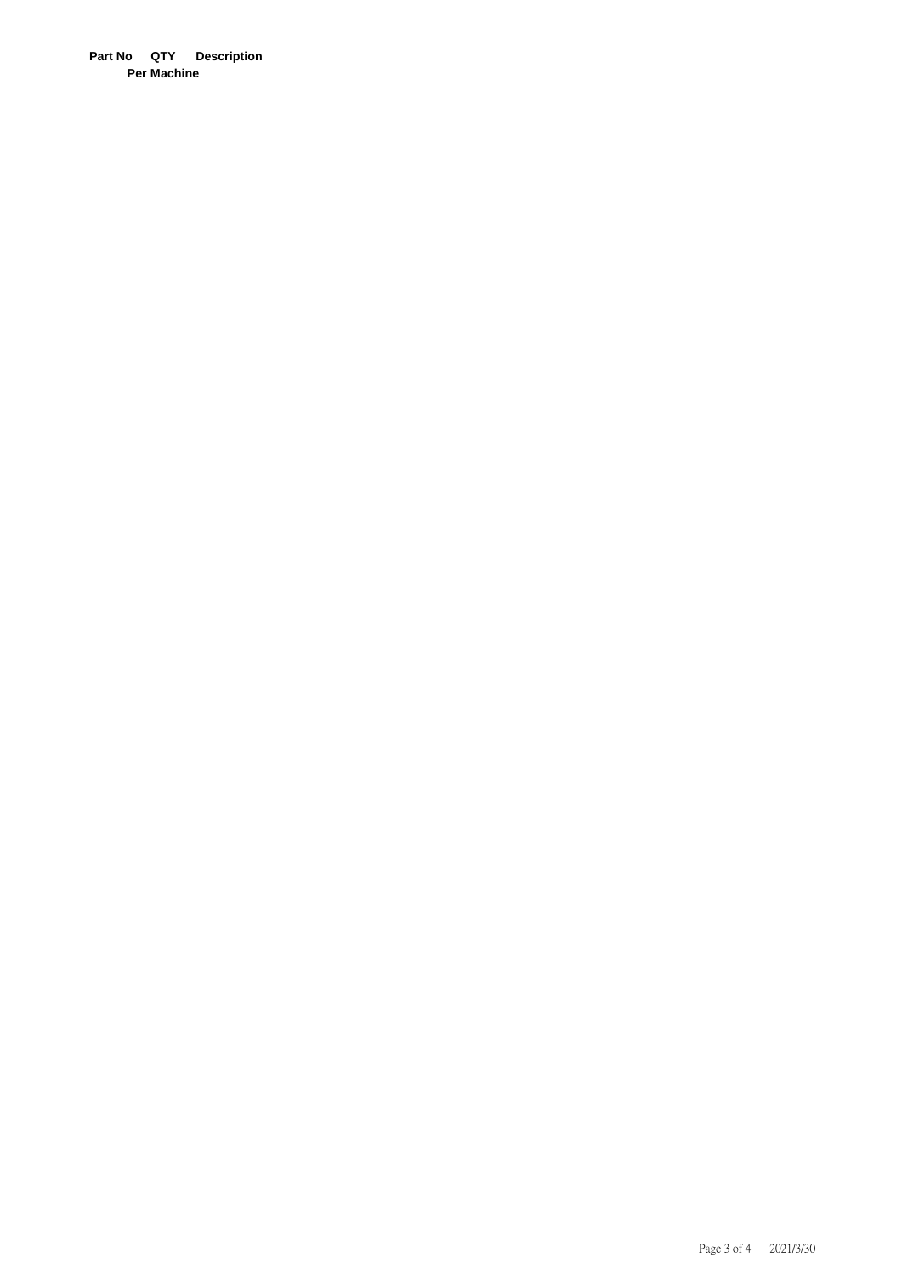**Part No QTY Description Per Machine**